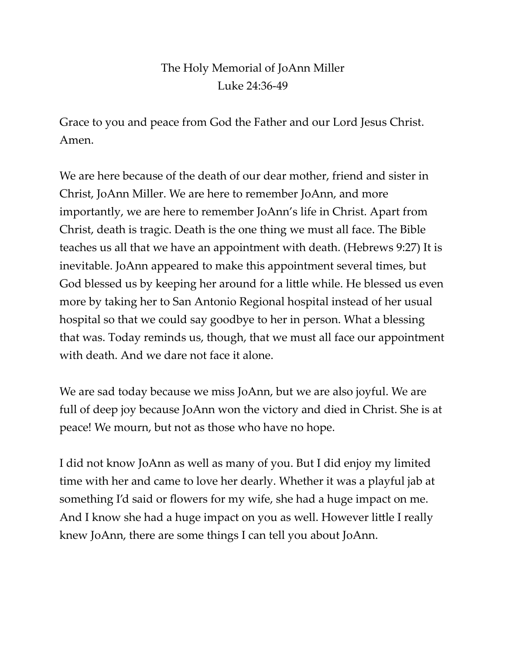## The Holy Memorial of JoAnn Miller Luke 24:36-49

Grace to you and peace from God the Father and our Lord Jesus Christ. Amen.

We are here because of the death of our dear mother, friend and sister in Christ, JoAnn Miller. We are here to remember JoAnn, and more importantly, we are here to remember JoAnn's life in Christ. Apart from Christ, death is tragic. Death is the one thing we must all face. The Bible teaches us all that we have an appointment with death. (Hebrews 9:27) It is inevitable. JoAnn appeared to make this appointment several times, but God blessed us by keeping her around for a little while. He blessed us even more by taking her to San Antonio Regional hospital instead of her usual hospital so that we could say goodbye to her in person. What a blessing that was. Today reminds us, though, that we must all face our appointment with death. And we dare not face it alone.

We are sad today because we miss JoAnn, but we are also joyful. We are full of deep joy because JoAnn won the victory and died in Christ. She is at peace! We mourn, but not as those who have no hope.

I did not know JoAnn as well as many of you. But I did enjoy my limited time with her and came to love her dearly. Whether it was a playful jab at something I'd said or flowers for my wife, she had a huge impact on me. And I know she had a huge impact on you as well. However little I really knew JoAnn, there are some things I can tell you about JoAnn.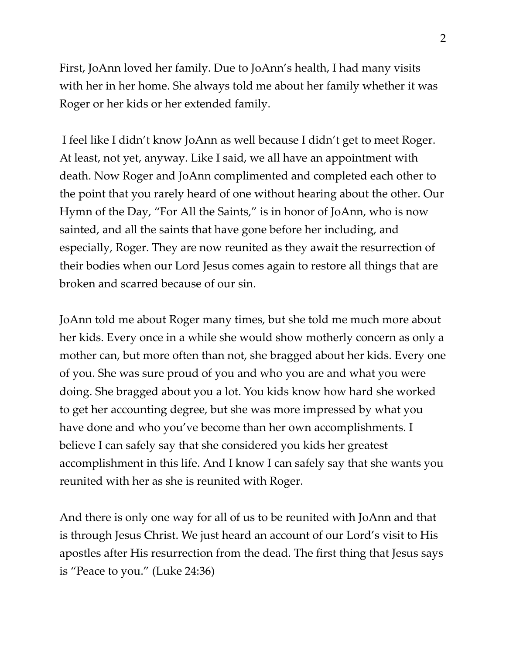First, JoAnn loved her family. Due to JoAnn's health, I had many visits with her in her home. She always told me about her family whether it was Roger or her kids or her extended family.

I feel like I didn't know JoAnn as well because I didn't get to meet Roger. At least, not yet, anyway. Like I said, we all have an appointment with death. Now Roger and JoAnn complimented and completed each other to the point that you rarely heard of one without hearing about the other. Our Hymn of the Day, "For All the Saints," is in honor of JoAnn, who is now sainted, and all the saints that have gone before her including, and especially, Roger. They are now reunited as they await the resurrection of their bodies when our Lord Jesus comes again to restore all things that are broken and scarred because of our sin.

JoAnn told me about Roger many times, but she told me much more about her kids. Every once in a while she would show motherly concern as only a mother can, but more often than not, she bragged about her kids. Every one of you. She was sure proud of you and who you are and what you were doing. She bragged about you a lot. You kids know how hard she worked to get her accounting degree, but she was more impressed by what you have done and who you've become than her own accomplishments. I believe I can safely say that she considered you kids her greatest accomplishment in this life. And I know I can safely say that she wants you reunited with her as she is reunited with Roger.

And there is only one way for all of us to be reunited with JoAnn and that is through Jesus Christ. We just heard an account of our Lord's visit to His apostles after His resurrection from the dead. The first thing that Jesus says is "Peace to you." (Luke 24:36)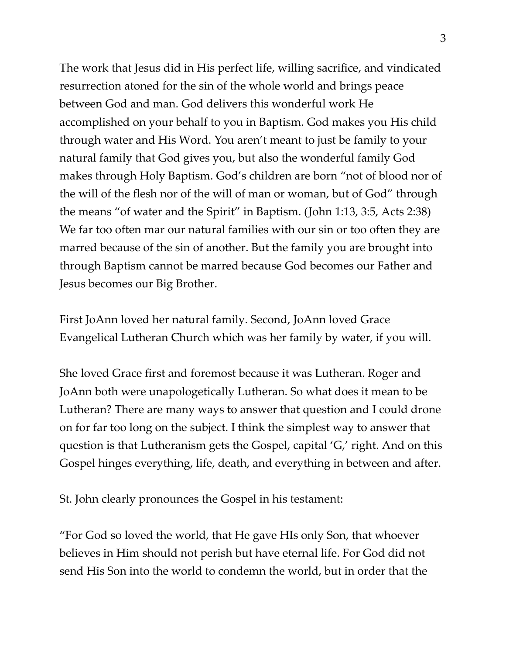The work that Jesus did in His perfect life, willing sacrifice, and vindicated resurrection atoned for the sin of the whole world and brings peace between God and man. God delivers this wonderful work He accomplished on your behalf to you in Baptism. God makes you His child through water and His Word. You aren't meant to just be family to your natural family that God gives you, but also the wonderful family God makes through Holy Baptism. God's children are born "not of blood nor of the will of the flesh nor of the will of man or woman, but of God" through the means "of water and the Spirit" in Baptism. (John 1:13, 3:5, Acts 2:38) We far too often mar our natural families with our sin or too often they are marred because of the sin of another. But the family you are brought into through Baptism cannot be marred because God becomes our Father and Jesus becomes our Big Brother.

First JoAnn loved her natural family. Second, JoAnn loved Grace Evangelical Lutheran Church which was her family by water, if you will.

She loved Grace first and foremost because it was Lutheran. Roger and JoAnn both were unapologetically Lutheran. So what does it mean to be Lutheran? There are many ways to answer that question and I could drone on for far too long on the subject. I think the simplest way to answer that question is that Lutheranism gets the Gospel, capital 'G,' right. And on this Gospel hinges everything, life, death, and everything in between and after.

St. John clearly pronounces the Gospel in his testament:

"For God so loved the world, that He gave HIs only Son, that whoever believes in Him should not perish but have eternal life. For God did not send His Son into the world to condemn the world, but in order that the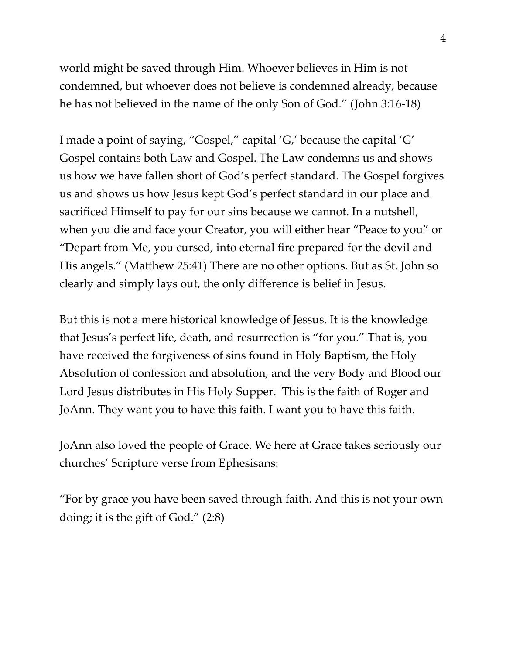world might be saved through Him. Whoever believes in Him is not condemned, but whoever does not believe is condemned already, because he has not believed in the name of the only Son of God." (John 3:16-18)

I made a point of saying, "Gospel," capital 'G,' because the capital 'G' Gospel contains both Law and Gospel. The Law condemns us and shows us how we have fallen short of God's perfect standard. The Gospel forgives us and shows us how Jesus kept God's perfect standard in our place and sacrificed Himself to pay for our sins because we cannot. In a nutshell, when you die and face your Creator, you will either hear "Peace to you" or "Depart from Me, you cursed, into eternal fire prepared for the devil and His angels." (Matthew 25:41) There are no other options. But as St. John so clearly and simply lays out, the only difference is belief in Jesus.

But this is not a mere historical knowledge of Jessus. It is the knowledge that Jesus's perfect life, death, and resurrection is "for you." That is, you have received the forgiveness of sins found in Holy Baptism, the Holy Absolution of confession and absolution, and the very Body and Blood our Lord Jesus distributes in His Holy Supper. This is the faith of Roger and JoAnn. They want you to have this faith. I want you to have this faith.

JoAnn also loved the people of Grace. We here at Grace takes seriously our churches' Scripture verse from Ephesisans:

"For by grace you have been saved through faith. And this is not your own doing; it is the gift of God." (2:8)